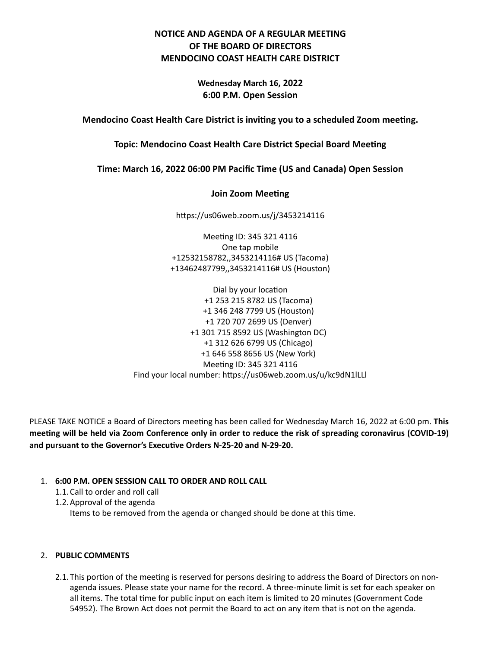# **NOTICE AND AGENDA OF A REGULAR MEETING OF THE BOARD OF DIRECTORS MENDOCINO COAST HEALTH CARE DISTRICT**

**Wednesday March 16, 2022 6:00 P.M. Open Session**

**Mendocino Coast Health Care District is inviting you to a scheduled Zoom meeting.**

**Topic: Mendocino Coast Health Care District Special Board Meeting**

**Time: March 16, 2022 06:00 PM Pacific Time (US and Canada) Open Session**

## **Join Zoom Meeting**

https://us06web.zoom.us/j/3453214116

Meeting ID: 345 321 4116 One tap mobile +12532158782,,3453214116# US (Tacoma) +13462487799,,3453214116# US (Houston)

Dial by your location +1 253 215 8782 US (Tacoma) +1 346 248 7799 US (Houston) +1 720 707 2699 US (Denver) +1 301 715 8592 US (Washington DC) +1 312 626 6799 US (Chicago) +1 646 558 8656 US (New York) Meeting ID: 345 321 4116 Find your local number: https://us06web.zoom.us/u/kc9dN1lLLl

PLEASE TAKE NOTICE a Board of Directors meeting has been called for Wednesday March 16, 2022 at 6:00 pm. **This meeting will be held via Zoom Conference only in order to reduce the risk of spreading coronavirus (COVID-19) and pursuant to the Governor's Executive Orders N-25-20 and N-29-20.**

## 1. **6:00 P.M. OPEN SESSION CALL TO ORDER AND ROLL CALL**

1.1.Call to order and roll call

1.2.Approval of the agenda

Items to be removed from the agenda or changed should be done at this time.

## 2. **PUBLIC COMMENTS**

2.1.This portion of the meeting is reserved for persons desiring to address the Board of Directors on nonagenda issues. Please state your name for the record. A three-minute limit is set for each speaker on all items. The total time for public input on each item is limited to 20 minutes (Government Code 54952). The Brown Act does not permit the Board to act on any item that is not on the agenda.